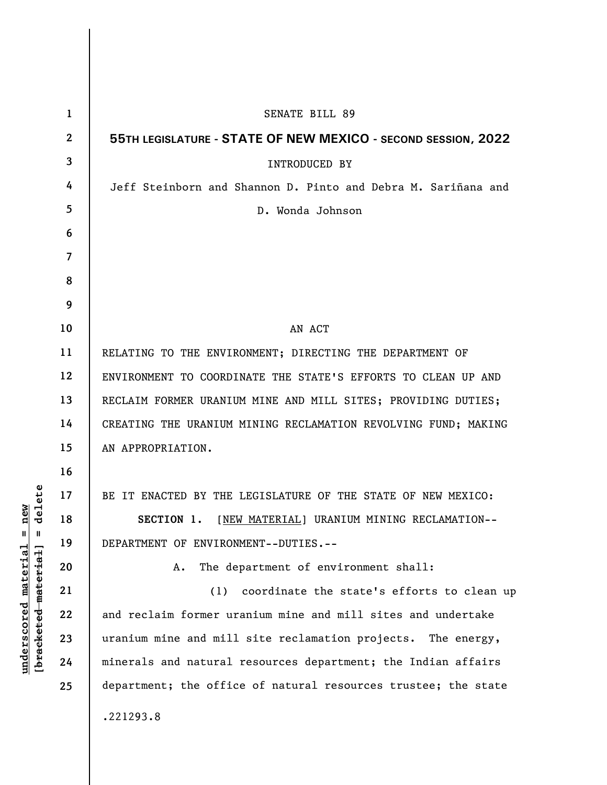| $\mathbf{1}$ | <b>SENATE BILL 89</b>                                          |
|--------------|----------------------------------------------------------------|
| $\mathbf{2}$ | 55TH LEGISLATURE - STATE OF NEW MEXICO - SECOND SESSION, 2022  |
| 3            | <b>INTRODUCED BY</b>                                           |
| 4            | Jeff Steinborn and Shannon D. Pinto and Debra M. Sariñana and  |
| 5            | D. Wonda Johnson                                               |
| 6            |                                                                |
| 7            |                                                                |
| 8            |                                                                |
| 9            |                                                                |
| 10           | AN ACT                                                         |
| 11           | RELATING TO THE ENVIRONMENT; DIRECTING THE DEPARTMENT OF       |
| 12           | ENVIRONMENT TO COORDINATE THE STATE'S EFFORTS TO CLEAN UP AND  |
| 13           | RECLAIM FORMER URANIUM MINE AND MILL SITES; PROVIDING DUTIES;  |
| 14           | CREATING THE URANIUM MINING RECLAMATION REVOLVING FUND; MAKING |
| 15           | AN APPROPRIATION.                                              |
| 16           |                                                                |
| 17           | BE IT ENACTED BY THE LEGISLATURE OF THE STATE OF NEW MEXICO:   |
| 18           | [NEW MATERIAL] URANIUM MINING RECLAMATION--<br>SECTION 1.      |
| 19           | DEPARTMENT OF ENVIRONMENT--DUTIES.--                           |
| 20           | The department of environment shall:<br>Α.                     |
| 21           | coordinate the state's efforts to clean up<br>(1)              |
| 22           | and reclaim former uranium mine and mill sites and undertake   |
| 23           | uranium mine and mill site reclamation projects. The energy,   |
| 24           | minerals and natural resources department; the Indian affairs  |
| 25           | department; the office of natural resources trustee; the state |
|              | .221293.8                                                      |

**underscored material = new [bracketed material] = delete**

 $[bracketeed-materiat] = delete$  $underscored material = new$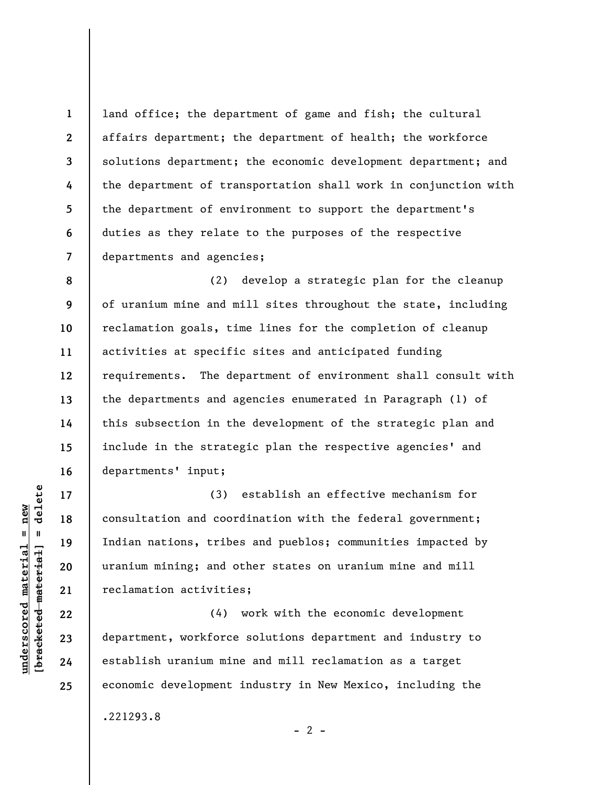**1 2 3 4 5 6 7**  land office; the department of game and fish; the cultural affairs department; the department of health; the workforce solutions department; the economic development department; and the department of transportation shall work in conjunction with the department of environment to support the department's duties as they relate to the purposes of the respective departments and agencies;

**8 9 10 11 12 13 14 15 16**  (2) develop a strategic plan for the cleanup of uranium mine and mill sites throughout the state, including reclamation goals, time lines for the completion of cleanup activities at specific sites and anticipated funding requirements. The department of environment shall consult with the departments and agencies enumerated in Paragraph (1) of this subsection in the development of the strategic plan and include in the strategic plan the respective agencies' and departments' input;

(3) establish an effective mechanism for consultation and coordination with the federal government; Indian nations, tribes and pueblos; communities impacted by uranium mining; and other states on uranium mine and mill reclamation activities;

(4) work with the economic development department, workforce solutions department and industry to establish uranium mine and mill reclamation as a target economic development industry in New Mexico, including the .221293.8

 $\frac{1}{2}$  intereted material = delete **[bracketed material] = delete**  $underscored material = new$ **underscored material = new**

**17** 

**18** 

**19** 

**20** 

**21** 

**22** 

**23** 

**24** 

**25** 

 $- 2 -$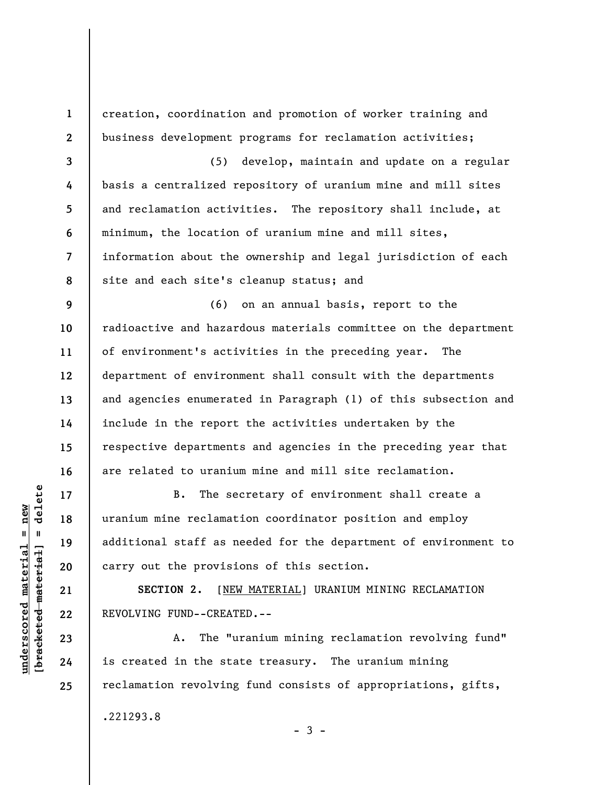**1 2 3 4 5 6 7 8 9 10 11 12 13 14 15 16 17 18 19 20**  creation, coordination and promotion of worker training and business development programs for reclamation activities; (5) develop, maintain and update on a regular basis a centralized repository of uranium mine and mill sites and reclamation activities. The repository shall include, at minimum, the location of uranium mine and mill sites, information about the ownership and legal jurisdiction of each site and each site's cleanup status; and (6) on an annual basis, report to the of environment's activities in the preceding year. The department of environment shall consult with the departments include in the report the activities undertaken by the respective departments and agencies in the preceding year that are related to uranium mine and mill site reclamation. B. The secretary of environment shall create a uranium mine reclamation coordinator position and employ additional staff as needed for the department of environment to carry out the provisions of this section.

**SECTION 2.** [NEW MATERIAL] URANIUM MINING RECLAMATION REVOLVING FUND--CREATED.--

A. The "uranium mining reclamation revolving fund" is created in the state treasury. The uranium mining reclamation revolving fund consists of appropriations, gifts,

.221293.8

 $\frac{1}{2}$  of  $\frac{1}{2}$  and  $\frac{1}{2}$  and  $\frac{1}{2}$  and  $\frac{1}{2}$  and  $\frac{1}{2}$  and  $\frac{1}{2}$  and  $\frac{1}{2}$  and  $\frac{1}{2}$  and  $\frac{1}{2}$  and  $\frac{1}{2}$  and  $\frac{1}{2}$  and  $\frac{1}{2}$  and  $\frac{1}{2}$  and  $\frac{1}{2}$  and  $\frac{1}{2}$  an **[bracketed material] = delete**  $underscored material = new$ **underscored material = new**

**21** 

**22** 

**23** 

**24** 

**25** 

radioactive and hazardous materials committee on the department and agencies enumerated in Paragraph (1) of this subsection and

 $-3 -$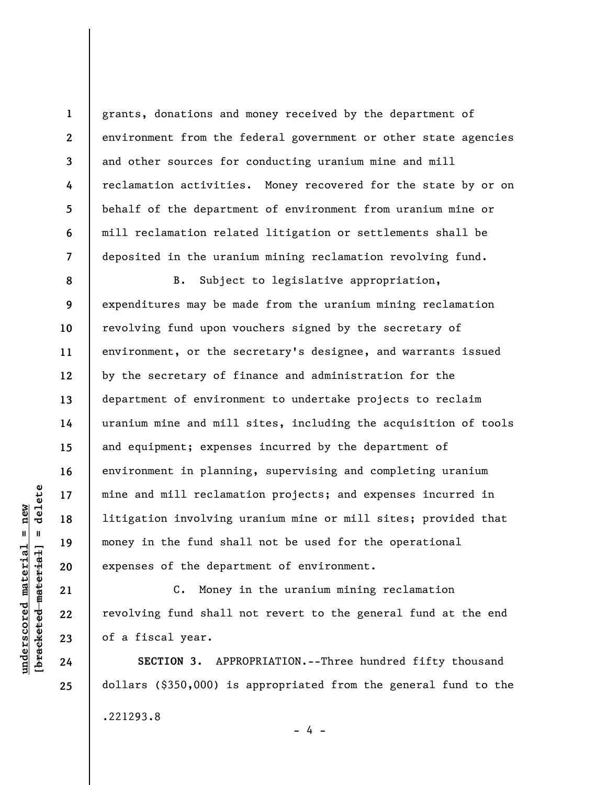grants, donations and money received by the department of environment from the federal government or other state agencies and other sources for conducting uranium mine and mill reclamation activities. Money recovered for the state by or on behalf of the department of environment from uranium mine or mill reclamation related litigation or settlements shall be deposited in the uranium mining reclamation revolving fund.

**8 9 10 11 12 13 14 15 16 17 18 19 20**  B. Subject to legislative appropriation, expenditures may be made from the uranium mining reclamation revolving fund upon vouchers signed by the secretary of environment, or the secretary's designee, and warrants issued by the secretary of finance and administration for the department of environment to undertake projects to reclaim uranium mine and mill sites, including the acquisition of tools and equipment; expenses incurred by the department of environment in planning, supervising and completing uranium mine and mill reclamation projects; and expenses incurred in litigation involving uranium mine or mill sites; provided that money in the fund shall not be used for the operational expenses of the department of environment.

C. Money in the uranium mining reclamation revolving fund shall not revert to the general fund at the end of a fiscal year.

**SECTION 3.** APPROPRIATION.--Three hundred fifty thousand dollars (\$350,000) is appropriated from the general fund to the .221293.8

- 4 -

 $\frac{1}{2}$  intereted material = delete **[bracketed material] = delete**  $underscored material = new$ **underscored material = new**

**21** 

**22** 

**23** 

**24** 

**25** 

**1** 

**2** 

**3** 

**4** 

**5** 

**6** 

**7**